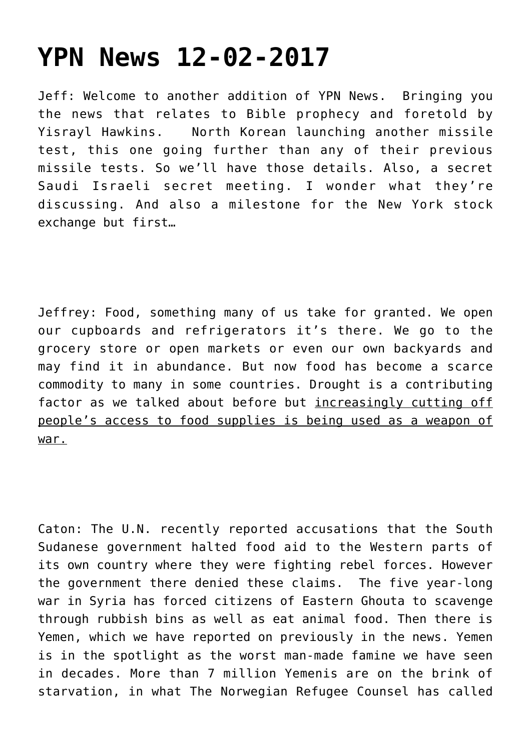## **[YPN News 12-02-2017](https://yahwehsbranch.com/ypn-news-12-02-2017/)**

Jeff: Welcome to another addition of YPN News. Bringing you the news that relates to Bible prophecy and foretold by Yisrayl Hawkins. North Korean launching another missile test, this one going further than any of their previous missile tests. So we'll have those details. Also, a secret Saudi Israeli secret meeting. I wonder what they're discussing. And also a milestone for the New York stock exchange but first…

Jeffrey: Food, something many of us take for granted. We open our cupboards and refrigerators it's there. We go to the grocery store or open markets or even our own backyards and may find it in abundance. But now food has become a scarce commodity to many in some countries. Drought is a contributing factor as we talked about before but increasingly cutting off people's access to food supplies is being used as a weapon of war.

Caton: The U.N. recently reported accusations that the South Sudanese government halted food aid to the Western parts of its own country where they were fighting rebel forces. However the government there denied these claims. The five year-long war in Syria has forced citizens of Eastern Ghouta to scavenge through rubbish bins as well as eat animal food. Then there is Yemen, which we have reported on previously in the news. Yemen is in the spotlight as the worst man-made famine we have seen in decades. More than 7 million Yemenis are on the brink of starvation, in what The Norwegian Refugee Counsel has called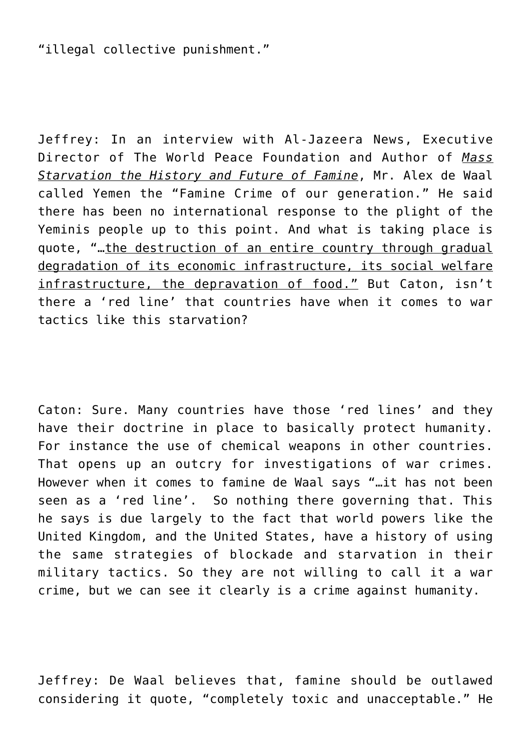"illegal collective punishment."

Jeffrey: In an interview with Al-Jazeera News, Executive Director of The World Peace Foundation and Author of *Mass Starvation the History and Future of Famine*, Mr. Alex de Waal called Yemen the "Famine Crime of our generation." He said there has been no international response to the plight of the Yeminis people up to this point. And what is taking place is quote, "…the destruction of an entire country through gradual degradation of its economic infrastructure, its social welfare infrastructure, the depravation of food." But Caton, isn't there a 'red line' that countries have when it comes to war tactics like this starvation?

Caton: Sure. Many countries have those 'red lines' and they have their doctrine in place to basically protect humanity. For instance the use of chemical weapons in other countries. That opens up an outcry for investigations of war crimes. However when it comes to famine de Waal says "…it has not been seen as a 'red line'. So nothing there governing that. This he says is due largely to the fact that world powers like the United Kingdom, and the United States, have a history of using the same strategies of blockade and starvation in their military tactics. So they are not willing to call it a war crime, but we can see it clearly is a crime against humanity.

Jeffrey: De Waal believes that, famine should be outlawed considering it quote, "completely toxic and unacceptable." He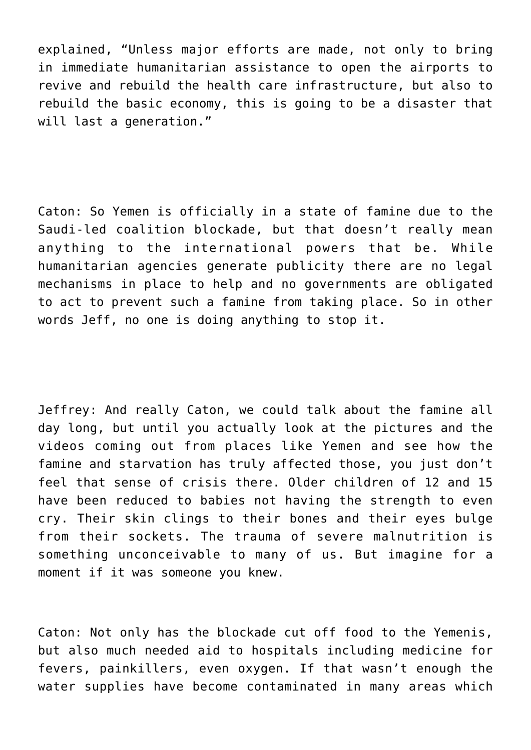explained, "Unless major efforts are made, not only to bring in immediate humanitarian assistance to open the airports to revive and rebuild the health care infrastructure, but also to rebuild the basic economy, this is going to be a disaster that will last a generation."

Caton: So Yemen is officially in a state of famine due to the Saudi-led coalition blockade, but that doesn't really mean anything to the international powers that be. While humanitarian agencies generate publicity there are no legal mechanisms in place to help and no governments are obligated to act to prevent such a famine from taking place. So in other words Jeff, no one is doing anything to stop it.

Jeffrey: And really Caton, we could talk about the famine all day long, but until you actually look at the pictures and the videos coming out from places like Yemen and see how the famine and starvation has truly affected those, you just don't feel that sense of crisis there. Older children of 12 and 15 have been reduced to babies not having the strength to even cry. Their skin clings to their bones and their eyes bulge from their sockets. The trauma of severe malnutrition is something unconceivable to many of us. But imagine for a moment if it was someone you knew.

Caton: Not only has the blockade cut off food to the Yemenis, but also much needed aid to hospitals including medicine for fevers, painkillers, even oxygen. If that wasn't enough the water supplies have become contaminated in many areas which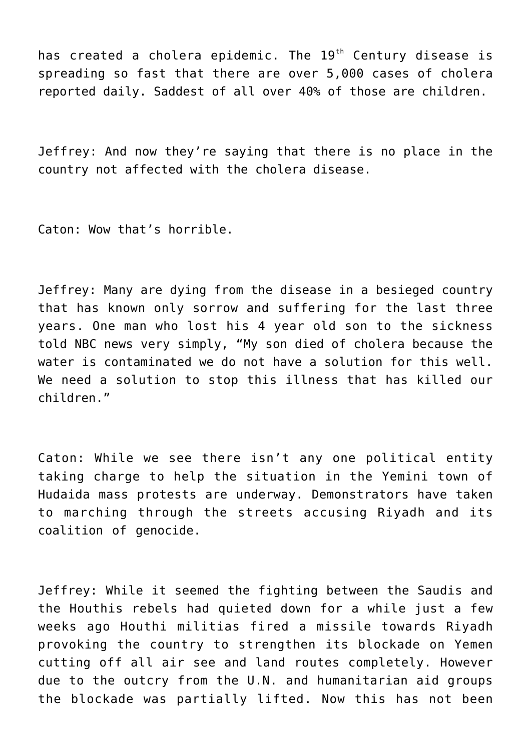has created a cholera epidemic. The  $19<sup>th</sup>$  Century disease is spreading so fast that there are over 5,000 cases of cholera reported daily. Saddest of all over 40% of those are children.

Jeffrey: And now they're saying that there is no place in the country not affected with the cholera disease.

Caton: Wow that's horrible.

Jeffrey: Many are dying from the disease in a besieged country that has known only sorrow and suffering for the last three years. One man who lost his 4 year old son to the sickness told NBC news very simply, "My son died of cholera because the water is contaminated we do not have a solution for this well. We need a solution to stop this illness that has killed our children."

Caton: While we see there isn't any one political entity taking charge to help the situation in the Yemini town of Hudaida mass protests are underway. Demonstrators have taken to marching through the streets accusing Riyadh and its coalition of genocide.

Jeffrey: While it seemed the fighting between the Saudis and the Houthis rebels had quieted down for a while just a few weeks ago Houthi militias fired a missile towards Riyadh provoking the country to strengthen its blockade on Yemen cutting off all air see and land routes completely. However due to the outcry from the U.N. and humanitarian aid groups the blockade was partially lifted. Now this has not been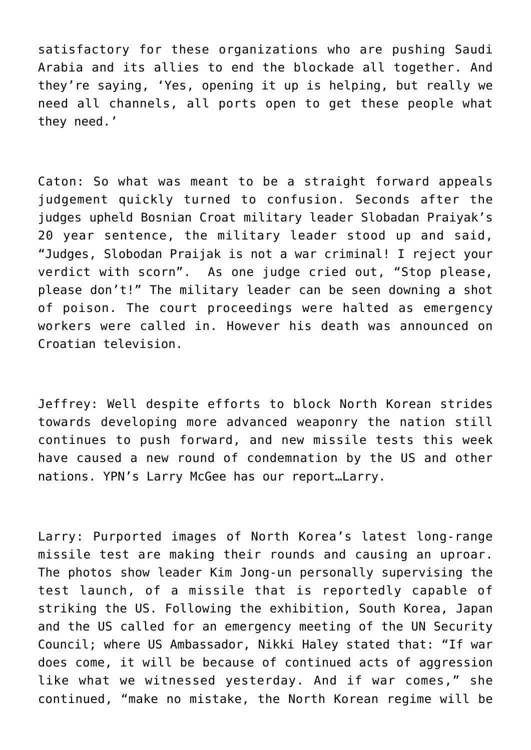satisfactory for these organizations who are pushing Saudi Arabia and its allies to end the blockade all together. And they're saying, 'Yes, opening it up is helping, but really we need all channels, all ports open to get these people what they need.'

Caton: So what was meant to be a straight forward appeals judgement quickly turned to confusion. Seconds after the judges upheld Bosnian Croat military leader Slobadan Praiyak's 20 year sentence, the military leader stood up and said, "Judges, Slobodan Praijak is not a war criminal! I reject your verdict with scorn". As one judge cried out, "Stop please, please don't!" The military leader can be seen downing a shot of poison. The court proceedings were halted as emergency workers were called in. However his death was announced on Croatian television.

Jeffrey: Well despite efforts to block North Korean strides towards developing more advanced weaponry the nation still continues to push forward, and new missile tests this week have caused a new round of condemnation by the US and other nations. YPN's Larry McGee has our report…Larry.

Larry: Purported images of North Korea's latest long-range missile test are making their rounds and causing an uproar. The photos show leader Kim Jong-un personally supervising the test launch, of a missile that is reportedly capable of striking the US. Following the exhibition, South Korea, Japan and the US called for an emergency meeting of the UN Security Council; where US Ambassador, Nikki Haley stated that: "If war does come, it will be because of continued acts of aggression like what we witnessed yesterday. And if war comes," she continued, "make no mistake, the North Korean regime will be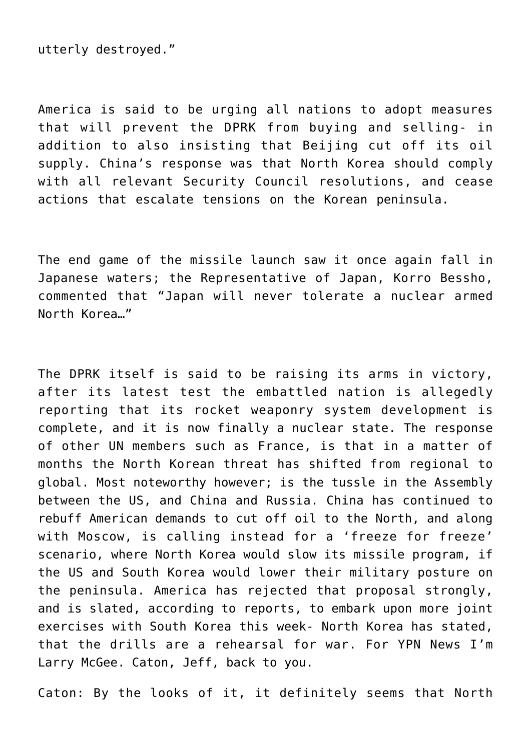utterly destroyed."

America is said to be urging all nations to adopt measures that will prevent the DPRK from buying and selling- in addition to also insisting that Beijing cut off its oil supply. China's response was that North Korea should comply with all relevant Security Council resolutions, and cease actions that escalate tensions on the Korean peninsula.

The end game of the missile launch saw it once again fall in Japanese waters; the Representative of Japan, Korro Bessho, commented that "Japan will never tolerate a nuclear armed North Korea…"

The DPRK itself is said to be raising its arms in victory, after its latest test the embattled nation is allegedly reporting that its rocket weaponry system development is complete, and it is now finally a nuclear state. The response of other UN members such as France, is that in a matter of months the North Korean threat has shifted from regional to global. Most noteworthy however; is the tussle in the Assembly between the US, and China and Russia. China has continued to rebuff American demands to cut off oil to the North, and along with Moscow, is calling instead for a 'freeze for freeze' scenario, where North Korea would slow its missile program, if the US and South Korea would lower their military posture on the peninsula. America has rejected that proposal strongly, and is slated, according to reports, to embark upon more joint exercises with South Korea this week- North Korea has stated, that the drills are a rehearsal for war. For YPN News I'm Larry McGee. Caton, Jeff, back to you.

Caton: By the looks of it, it definitely seems that North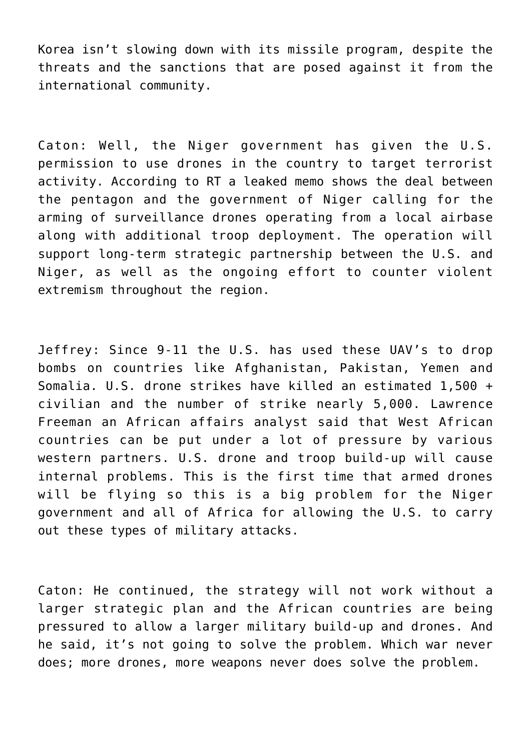Korea isn't slowing down with its missile program, despite the threats and the sanctions that are posed against it from the international community.

Caton: Well, the Niger government has given the U.S. permission to use drones in the country to target terrorist activity. According to RT a leaked memo shows the deal between the pentagon and the government of Niger calling for the arming of surveillance drones operating from a local airbase along with additional troop deployment. The operation will support long-term strategic partnership between the U.S. and Niger, as well as the ongoing effort to counter violent extremism throughout the region.

Jeffrey: Since 9-11 the U.S. has used these UAV's to drop bombs on countries like Afghanistan, Pakistan, Yemen and Somalia. U.S. drone strikes have killed an estimated 1,500 + civilian and the number of strike nearly 5,000. Lawrence Freeman an African affairs analyst said that West African countries can be put under a lot of pressure by various western partners. U.S. drone and troop build-up will cause internal problems. This is the first time that armed drones will be flying so this is a big problem for the Niger government and all of Africa for allowing the U.S. to carry out these types of military attacks.

Caton: He continued, the strategy will not work without a larger strategic plan and the African countries are being pressured to allow a larger military build-up and drones. And he said, it's not going to solve the problem. Which war never does; more drones, more weapons never does solve the problem.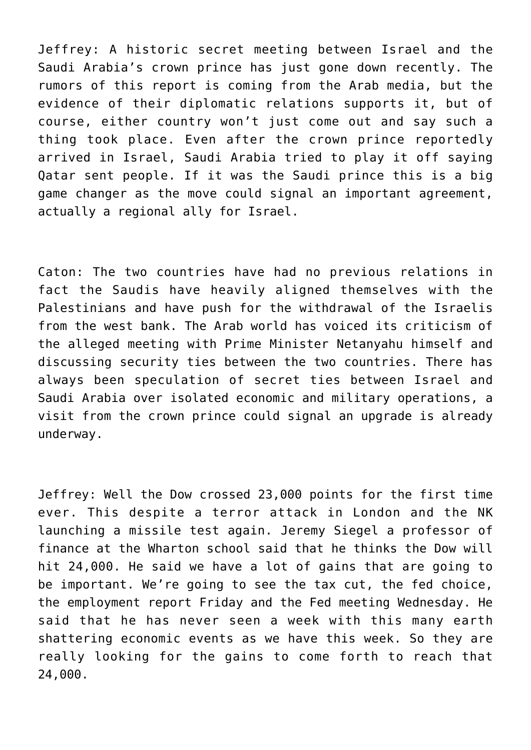Jeffrey: A historic secret meeting between Israel and the Saudi Arabia's crown prince has just gone down recently. The rumors of this report is coming from the Arab media, but the evidence of their diplomatic relations supports it, but of course, either country won't just come out and say such a thing took place. Even after the crown prince reportedly arrived in Israel, Saudi Arabia tried to play it off saying Qatar sent people. If it was the Saudi prince this is a big game changer as the move could signal an important agreement, actually a regional ally for Israel.

Caton: The two countries have had no previous relations in fact the Saudis have heavily aligned themselves with the Palestinians and have push for the withdrawal of the Israelis from the west bank. The Arab world has voiced its criticism of the alleged meeting with Prime Minister Netanyahu himself and discussing security ties between the two countries. There has always been speculation of secret ties between Israel and Saudi Arabia over isolated economic and military operations, a visit from the crown prince could signal an upgrade is already underway.

Jeffrey: Well the Dow crossed 23,000 points for the first time ever. This despite a terror attack in London and the NK launching a missile test again. Jeremy Siegel a professor of finance at the Wharton school said that he thinks the Dow will hit 24,000. He said we have a lot of gains that are going to be important. We're going to see the tax cut, the fed choice, the employment report Friday and the Fed meeting Wednesday. He said that he has never seen a week with this many earth shattering economic events as we have this week. So they are really looking for the gains to come forth to reach that 24,000.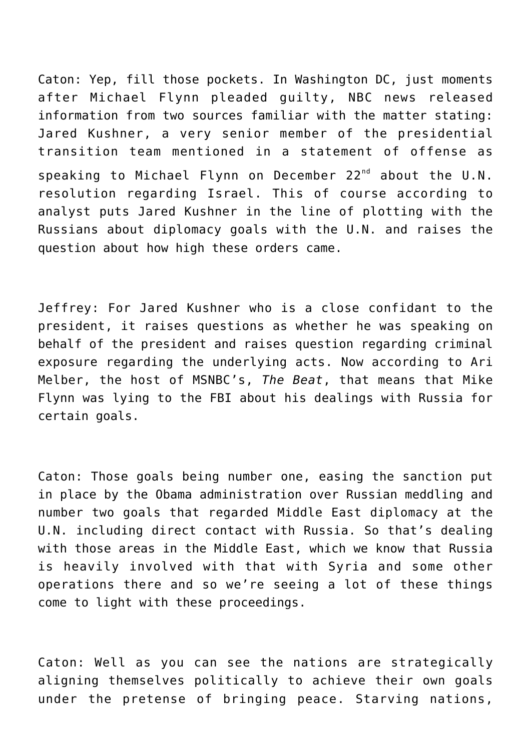Caton: Yep, fill those pockets. In Washington DC, just moments after Michael Flynn pleaded guilty, NBC news released information from two sources familiar with the matter stating: Jared Kushner, a very senior member of the presidential transition team mentioned in a statement of offense as speaking to Michael Flynn on December 22<sup>nd</sup> about the U.N. resolution regarding Israel. This of course according to analyst puts Jared Kushner in the line of plotting with the Russians about diplomacy goals with the U.N. and raises the question about how high these orders came.

Jeffrey: For Jared Kushner who is a close confidant to the president, it raises questions as whether he was speaking on behalf of the president and raises question regarding criminal exposure regarding the underlying acts. Now according to Ari Melber, the host of MSNBC's, *The Beat*, that means that Mike Flynn was lying to the FBI about his dealings with Russia for certain goals.

Caton: Those goals being number one, easing the sanction put in place by the Obama administration over Russian meddling and number two goals that regarded Middle East diplomacy at the U.N. including direct contact with Russia. So that's dealing with those areas in the Middle East, which we know that Russia is heavily involved with that with Syria and some other operations there and so we're seeing a lot of these things come to light with these proceedings.

Caton: Well as you can see the nations are strategically aligning themselves politically to achieve their own goals under the pretense of bringing peace. Starving nations,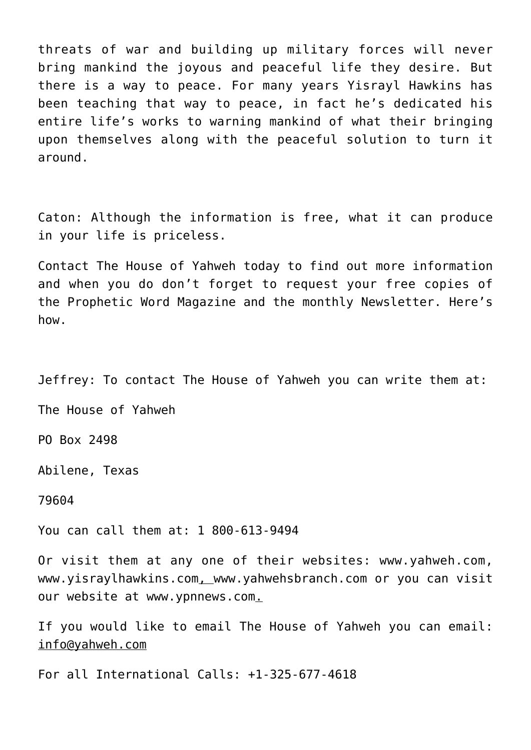threats of war and building up military forces will never bring mankind the joyous and peaceful life they desire. But there is a way to peace. For many years Yisrayl Hawkins has been teaching that way to peace, in fact he's dedicated his entire life's works to warning mankind of what their bringing upon themselves along with the peaceful solution to turn it around.

Caton: Although the information is free, what it can produce in your life is priceless.

Contact The House of Yahweh today to find out more information and when you do don't forget to request your free copies of the Prophetic Word Magazine and the monthly Newsletter. Here's how.

Jeffrey: To contact The House of Yahweh you can write them at:

The House of Yahweh

PO Box 2498

Abilene, Texas

79604

You can call them at: 1 800-613-9494

Or visit them at any one of their websites: [www.yahweh.com,](http://www.yahweh.com/) [www.yisraylhawkins.com,](http://www.yisraylhawkins.com/) [www.yahwehsbranch.com](http://www.yahwehsbranch.com/) or you can visit our website at [www.ypnnews.com](http://www.ypnnews.com/).

If you would like to email The House of Yahweh you can email: info@yahweh.com

For all International Calls: +1-325-677-4618